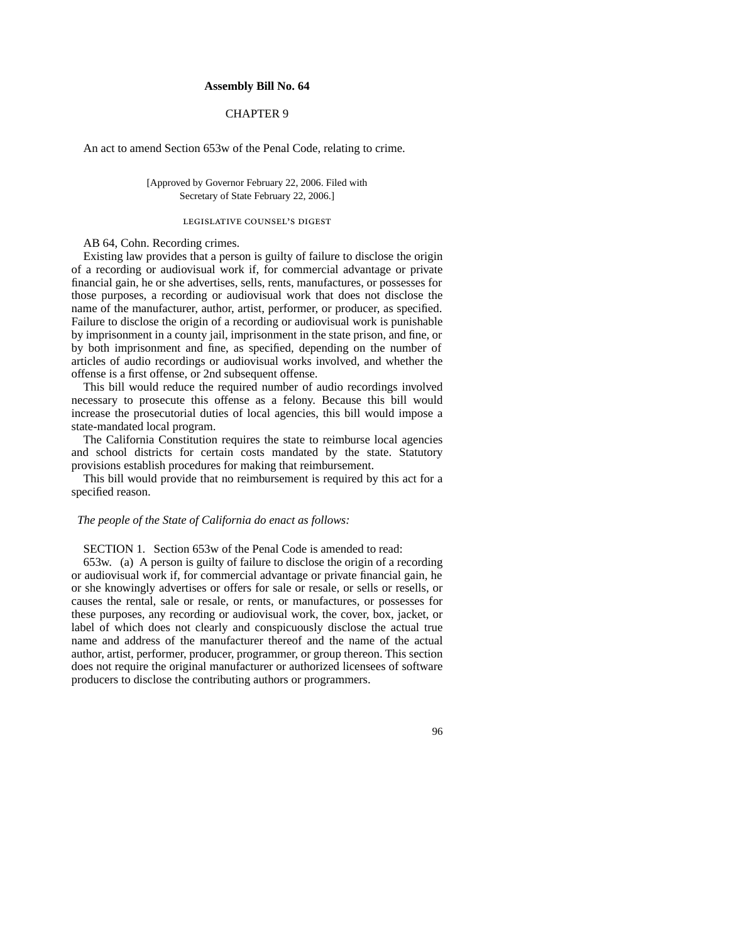## **Assembly Bill No. 64**

## CHAPTER 9

An act to amend Section 653w of the Penal Code, relating to crime.

[Approved by Governor February 22, 2006. Filed with Secretary of State February 22, 2006.]

## LEGISLATIVE COUNSEL'S DIGEST

AB 64, Cohn. Recording crimes.

Existing law provides that a person is guilty of failure to disclose the origin of a recording or audiovisual work if, for commercial advantage or private financial gain, he or she advertises, sells, rents, manufactures, or possesses for those purposes, a recording or audiovisual work that does not disclose the name of the manufacturer, author, artist, performer, or producer, as specified. Failure to disclose the origin of a recording or audiovisual work is punishable by imprisonment in a county jail, imprisonment in the state prison, and fine, or by both imprisonment and fine, as specified, depending on the number of articles of audio recordings or audiovisual works involved, and whether the offense is a first offense, or 2nd subsequent offense.

This bill would reduce the required number of audio recordings involved necessary to prosecute this offense as a felony. Because this bill would increase the prosecutorial duties of local agencies, this bill would impose a state-mandated local program.

The California Constitution requires the state to reimburse local agencies and school districts for certain costs mandated by the state. Statutory provisions establish procedures for making that reimbursement.

This bill would provide that no reimbursement is required by this act for a specified reason.

## *The people of the State of California do enact as follows:*

SECTION 1. Section 653w of the Penal Code is amended to read:

653w. (a) A person is guilty of failure to disclose the origin of a recording or audiovisual work if, for commercial advantage or private financial gain, he or she knowingly advertises or offers for sale or resale, or sells or resells, or causes the rental, sale or resale, or rents, or manufactures, or possesses for these purposes, any recording or audiovisual work, the cover, box, jacket, or label of which does not clearly and conspicuously disclose the actual true name and address of the manufacturer thereof and the name of the actual author, artist, performer, producer, programmer, or group thereon. This section does not require the original manufacturer or authorized licensees of software producers to disclose the contributing authors or programmers.

96